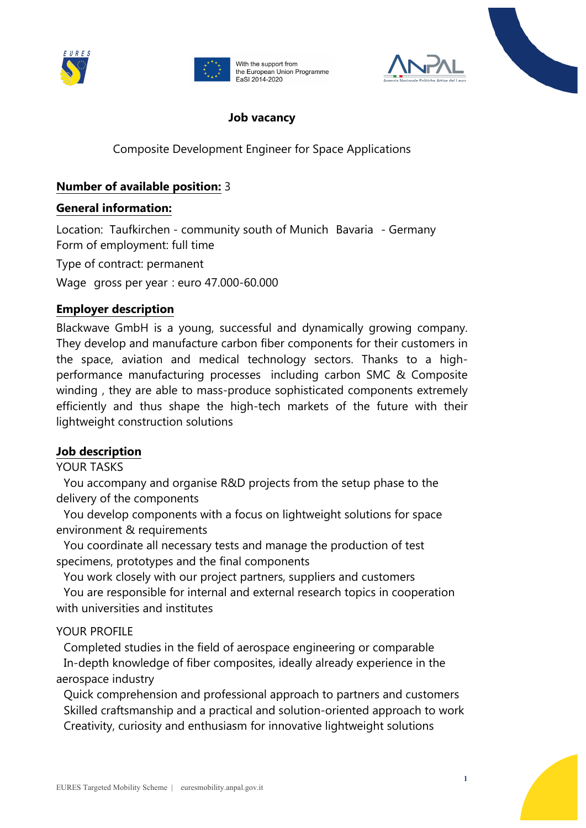





### **Job vacancy**

Composite Development Engineer for Space Applications

## **Number of available position:** 3

#### **General information:**

Location: Taufkirchen - community south of Munich Bavaria - Germany Form of employment: full time

Type of contract: permanent

Wage gross per year: euro 47.000-60.000

#### **Employer description**

Blackwave GmbH is a young, successful and dynamically growing company. They develop and manufacture carbon fiber components for their customers in the space, aviation and medical technology sectors. Thanks to a highperformance manufacturing processes including carbon SMC & Composite winding, they are able to mass-produce sophisticated components extremely efficiently and thus shape the high-tech markets of the future with their lightweight construction solutions

#### **Job description**

#### YOUR TASKS

 You accompany and organise R&D projects from the setup phase to the delivery of the components

 You develop components with a focus on lightweight solutions for space environment & requirements

 You coordinate all necessary tests and manage the production of test specimens, prototypes and the final components

You work closely with our project partners, suppliers and customers

 You are responsible for internal and external research topics in cooperation with universities and institutes

## YOUR PROFILE

 Completed studies in the field of aerospace engineering or comparable In-depth knowledge of fiber composites, ideally already experience in the aerospace industry

 Quick comprehension and professional approach to partners and customers Skilled craftsmanship and a practical and solution-oriented approach to work Creativity, curiosity and enthusiasm for innovative lightweight solutions